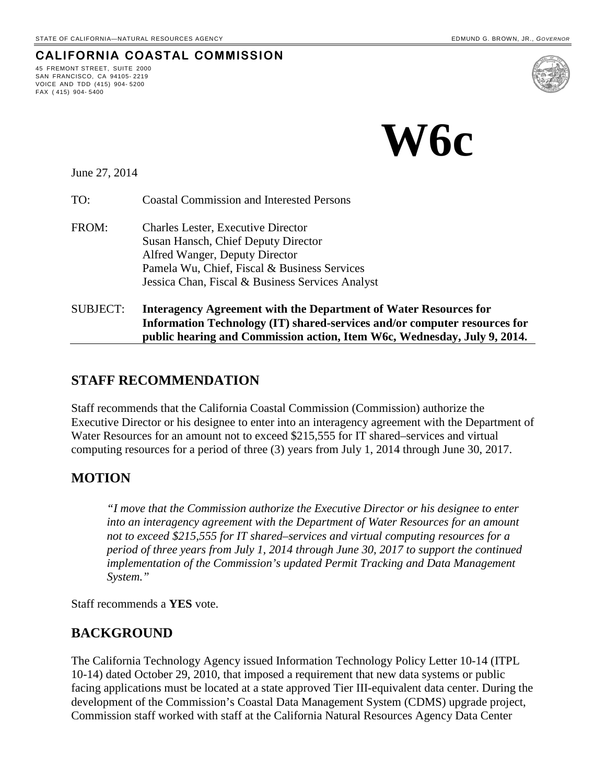**CALIFORNIA COASTAL COMMISSION**

 **W6c**

June 27, 2014

45 FREMONT STREET, SUITE 2000 SAN FRANCISCO, CA 94105- 2219 VOICE AND TDD (415) 904- 5200

FAX ( 415) 904- 5400

TO: Coastal Commission and Interested Persons

- FROM: Charles Lester, Executive Director Susan Hansch, Chief Deputy Director Alfred Wanger, Deputy Director Pamela Wu, Chief, Fiscal & Business Services Jessica Chan, Fiscal & Business Services Analyst
- SUBJECT: **Interagency Agreement with the Department of Water Resources for Information Technology (IT) shared-services and/or computer resources for public hearing and Commission action, Item W6c, Wednesday, July 9, 2014.**

### **STAFF RECOMMENDATION**

Staff recommends that the California Coastal Commission (Commission) authorize the Executive Director or his designee to enter into an interagency agreement with the Department of Water Resources for an amount not to exceed \$215,555 for IT shared–services and virtual computing resources for a period of three (3) years from July 1, 2014 through June 30, 2017.

### **MOTION**

*"I move that the Commission authorize the Executive Director or his designee to enter into an interagency agreement with the Department of Water Resources for an amount not to exceed \$215,555 for IT shared–services and virtual computing resources for a period of three years from July 1, 2014 through June 30, 2017 to support the continued implementation of the Commission's updated Permit Tracking and Data Management System."*

Staff recommends a **YES** vote.

### **BACKGROUND**

The California Technology Agency issued Information Technology Policy Letter 10-14 (ITPL 10-14) dated October 29, 2010, that imposed a requirement that new data systems or public facing applications must be located at a state approved Tier III-equivalent data center. During the development of the Commission's Coastal Data Management System (CDMS) upgrade project, Commission staff worked with staff at the California Natural Resources Agency Data Center